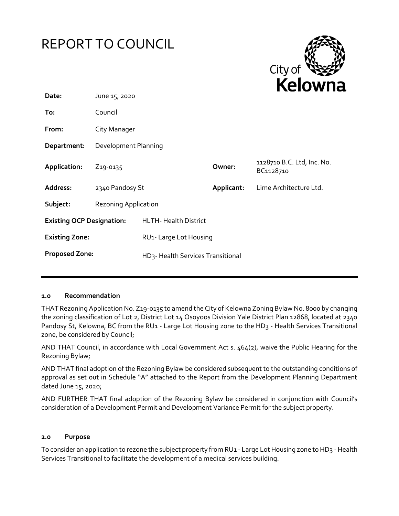



| Date:                            | June 15, 2020                     |                                   |            |                                         |
|----------------------------------|-----------------------------------|-----------------------------------|------------|-----------------------------------------|
| To:                              | Council                           |                                   |            |                                         |
| From:                            | City Manager                      |                                   |            |                                         |
| Department:                      | Development Planning              |                                   |            |                                         |
| Application:                     | Z <sub>19</sub> -0 <sub>135</sub> |                                   | Owner:     | 1128710 B.C. Ltd, Inc. No.<br>BC1128710 |
| <b>Address:</b>                  | 2340 Pandosy St                   |                                   | Applicant: | Lime Architecture Ltd.                  |
| Subject:                         | <b>Rezoning Application</b>       |                                   |            |                                         |
| <b>Existing OCP Designation:</b> |                                   | <b>HLTH- Health District</b>      |            |                                         |
| <b>Existing Zone:</b>            |                                   | RU1- Large Lot Housing            |            |                                         |
| <b>Proposed Zone:</b>            |                                   | HD3- Health Services Transitional |            |                                         |

### **1.0 Recommendation**

THAT Rezoning Application No. Z19-0135 to amend the City of Kelowna Zoning Bylaw No. 8000 by changing the zoning classification of Lot 2, District Lot 14 Osoyoos Division Yale District Plan 12868, located at 2340 Pandosy St, Kelowna, BC from the RU1 - Large Lot Housing zone to the HD3 - Health Services Transitional zone, be considered by Council;

AND THAT Council, in accordance with Local Government Act s. 464(2), waive the Public Hearing for the Rezoning Bylaw;

AND THAT final adoption of the Rezoning Bylaw be considered subsequent to the outstanding conditions of approval as set out in Schedule "A" attached to the Report from the Development Planning Department dated June 15, 2020;

AND FURTHER THAT final adoption of the Rezoning Bylaw be considered in conjunction with Council's consideration of a Development Permit and Development Variance Permit for the subject property.

### **2.0 Purpose**

To consider an application to rezone the subject property from RU1 - Large Lot Housing zone to HD3 - Health Services Transitional to facilitate the development of a medical services building.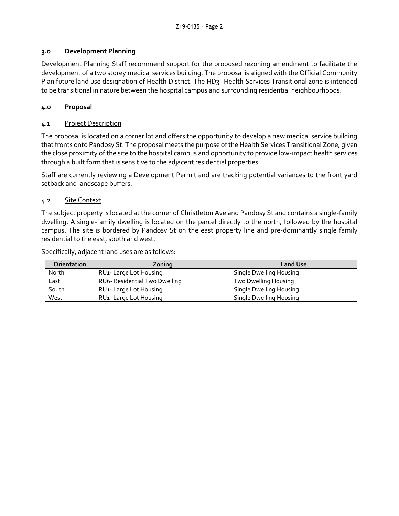## **3.0 Development Planning**

Development Planning Staff recommend support for the proposed rezoning amendment to facilitate the development of a two storey medical services building. The proposal is aligned with the Official Community Plan future land use designation of Health District. The HD3- Health Services Transitional zone is intended to be transitional in nature between the hospital campus and surrounding residential neighbourhoods.

## **4.0 Proposal**

## 4.1 Project Description

The proposal is located on a corner lot and offers the opportunity to develop a new medical service building that fronts onto Pandosy St. The proposal meets the purpose of the Health Services Transitional Zone, given the close proximity of the site to the hospital campus and opportunity to provide low-impact health services through a built form that is sensitive to the adjacent residential properties.

Staff are currently reviewing a Development Permit and are tracking potential variances to the front yard setback and landscape buffers.

## 4.2 Site Context

The subject property is located at the corner of Christleton Ave and Pandosy St and contains a single-family dwelling. A single-family dwelling is located on the parcel directly to the north, followed by the hospital campus. The site is bordered by Pandosy St on the east property line and pre-dominantly single family residential to the east, south and west.

Specifically, adjacent land uses are as follows:

| Orientation | Zoning                              | <b>Land Use</b>         |
|-------------|-------------------------------------|-------------------------|
| North       | RU <sub>1</sub> - Large Lot Housing | Single Dwelling Housing |
| East        | RU6- Residential Two Dwelling       | Two Dwelling Housing    |
| South       | RU <sub>1</sub> - Large Lot Housing | Single Dwelling Housing |
| West        | RU <sub>1</sub> - Large Lot Housing | Single Dwelling Housing |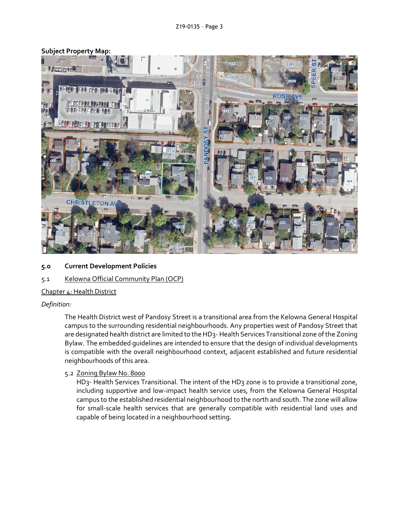## **Subject Property Map:**



- **5.0 Current Development Policies**
- 5.1 Kelowna Official Community Plan (OCP)

### Chapter 4: Health District

#### *Definition:*

The Health District west of Pandosy Street is a transitional area from the Kelowna General Hospital campus to the surrounding residential neighbourhoods. Any properties west of Pandosy Street that are designated health district are limited to the HD3- Health Services Transitional zone of the Zoning Bylaw. The embedded guidelines are intended to ensure that the design of individual developments is compatible with the overall neighbourhood context, adjacent established and future residential neighbourhoods of this area.

#### 5.2 Zoning Bylaw No. 8000

HD<sub>3</sub>- Health Services Transitional. The intent of the HD<sub>3</sub> zone is to provide a transitional zone, including supportive and low-impact health service uses, from the Kelowna General Hospital campus to the established residential neighbourhood to the north and south. The zone will allow for small-scale health services that are generally compatible with residential land uses and capable of being located in a neighbourhood setting.